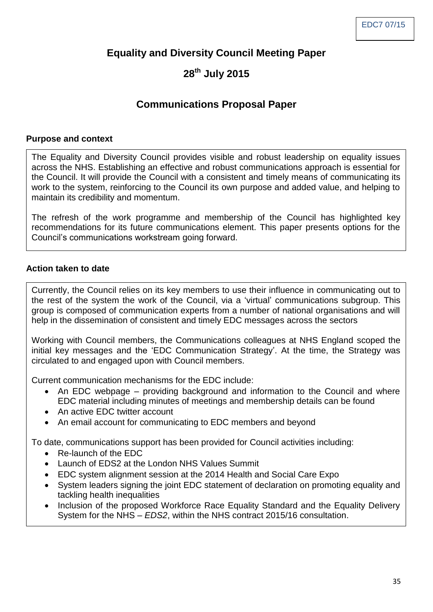# **Equality and Diversity Council Meeting Paper**

# **28th July 2015**

# **Communications Proposal Paper**

### **Purpose and context**

The Equality and Diversity Council provides visible and robust leadership on equality issues across the NHS. Establishing an effective and robust communications approach is essential for the Council. It will provide the Council with a consistent and timely means of communicating its work to the system, reinforcing to the Council its own purpose and added value, and helping to maintain its credibility and momentum.

The refresh of the work programme and membership of the Council has highlighted key recommendations for its future communications element. This paper presents options for the Council's communications workstream going forward.

## **Action taken to date**

Currently, the Council relies on its key members to use their influence in communicating out to the rest of the system the work of the Council, via a 'virtual' communications subgroup. This group is composed of communication experts from a number of national organisations and will help in the dissemination of consistent and timely EDC messages across the sectors

Working with Council members, the Communications colleagues at NHS England scoped the initial key messages and the 'EDC Communication Strategy'. At the time, the Strategy was circulated to and engaged upon with Council members.

Current communication mechanisms for the EDC include:

- An EDC webpage providing background and information to the Council and where EDC material including minutes of meetings and membership details can be found
- An active EDC twitter account
- An email account for communicating to EDC members and beyond

To date, communications support has been provided for Council activities including:

- Re-launch of the FDC
- Launch of EDS2 at the London NHS Values Summit
- EDC system alignment session at the 2014 Health and Social Care Expo
- System leaders signing the joint EDC statement of declaration on promoting equality and tackling health inequalities
- Inclusion of the proposed Workforce Race Equality Standard and the Equality Delivery System for the NHS – *EDS2*, within the NHS contract 2015/16 consultation.